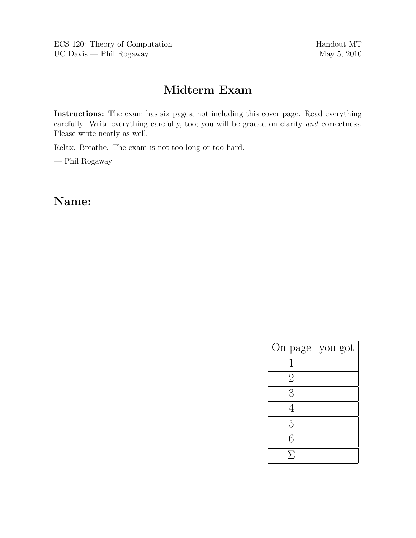## **Midterm Exam**

**Instructions:** The exam has six pages, not including this cover page. Read everything carefully. Write everything carefully, too; you will be graded on clarity *and* correctness. Please write neatly as well.

Relax. Breathe. The exam is not too long or too hard.

— Phil Rogaway

**Name:**

| you got |
|---------|
|         |
|         |
|         |
|         |
|         |
|         |
|         |
|         |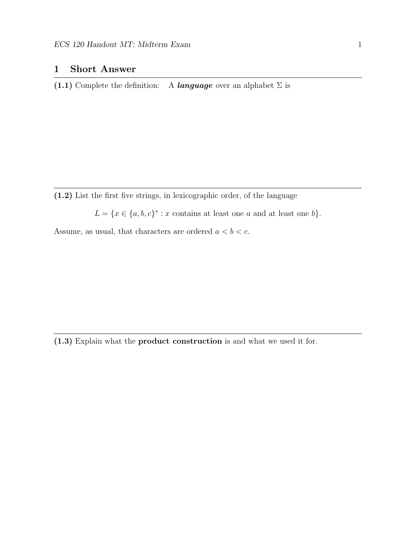## **1 Short Answer**

**(1.1)** Complete the definition: A *language* over an alphabet  $\Sigma$  is

**(1.2)** List the first five strings, in lexicographic order, of the language

 $L = \{x \in \{a, b, c\}^* : x \text{ contains at least one } a \text{ and at least one } b\}.$ 

Assume, as usual, that characters are ordered  $a < b < c.$ 

**(1.3)** Explain what the **product construction** is and what we used it for.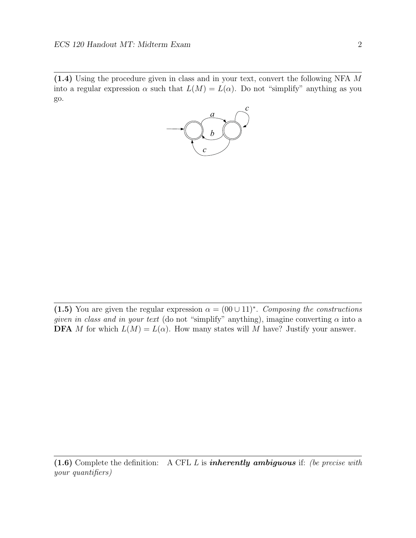**(1.4)** Using the procedure given in class and in your text, convert the following NFA M into a regular expression  $\alpha$  such that  $L(M) = L(\alpha)$ . Do not "simplify" anything as you go.



(1.5) You are given the regular expression  $\alpha = (00 \cup 11)^*$ . *Composing the constructions given in class and in your text* (do not "simplify" anything), imagine converting  $\alpha$  into a **DFA** M for which  $L(M) = L(\alpha)$ . How many states will M have? Justify your answer.

**(1.6)** Complete the definition: A CFL <sup>L</sup> is *inherently ambiguous* if: *(be precise with your quantifiers)*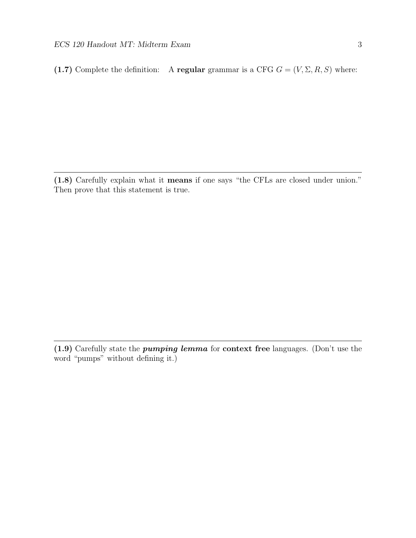**(1.7)** Complete the definition: A **regular** grammar is a CFG  $G = (V, \Sigma, R, S)$  where:

**(1.8)** Carefully explain what it **means** if one says "the CFLs are closed under union." Then prove that this statement is true.

**(1.9)** Carefully state the *pumping lemma* for **context free** languages. (Don't use the word "pumps" without defining it.)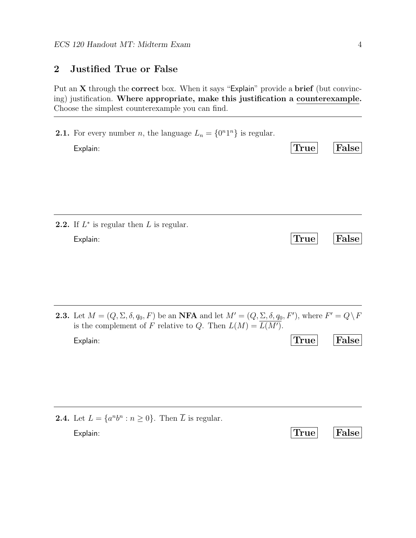## **2 Justified True or False**

Put an **X** through the **correct** box. When it says "Explain" provide a **brief** (but convincing) justification. **Where appropriate, make this justification a counterexample.** Choose the simplest counterexample you can find.

| <b>2.2.</b> If $L^*$ is regular then L is regular.<br>Explain: | False | True | <b>2.1.</b> For every number <i>n</i> , the language $L_n = \{0^n1^n\}$ is regular.<br>Explain: |
|----------------------------------------------------------------|-------|------|-------------------------------------------------------------------------------------------------|
|                                                                |       |      |                                                                                                 |
|                                                                | False | True |                                                                                                 |

**2.3.** Let  $M = (Q, \Sigma, \delta, q_0, F)$  be an **NFA** and let  $M' = (Q, \Sigma, \delta, q_0, F')$ , where  $F' = Q \setminus F$ is the complement of F relative to Q. Then  $L(M) = L(M')$ .

Explain: **True False**

| <b>2.4.</b> Let $L = \{a^n b^n : n \ge 0\}$ . Then $\overline{L}$ is regular. |            |  |
|-------------------------------------------------------------------------------|------------|--|
| Explain:                                                                      | True False |  |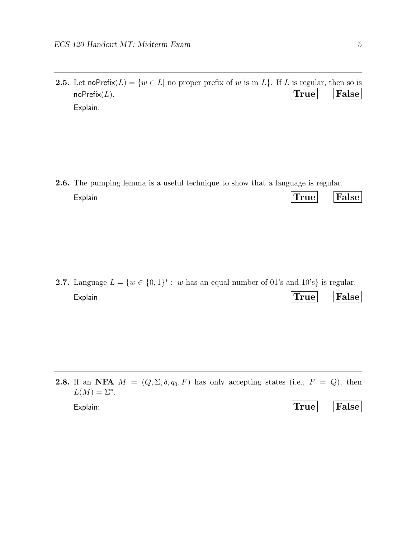**2.5.** Let noPrefix $(L) = \{w \in L |$  no proper prefix of w is in L}. If L is regular, then so is  $\mathbf{r}$ noPrefix(*L*). **True False** Explain:

**2.6.** The pumping lemma is a useful technique to show that a language is regular. Explain **True False**

**2.7.** Language  $L = \{w \in \{0, 1\}^* : w \text{ has an equal number of } 01 \text{'s and } 10 \text{'s}\}\)$  is regular. Explain **True False**

**2.8.** If an **NFA**  $M = (Q, \Sigma, \delta, q_0, F)$  has only accepting states (i.e.,  $F = Q$ ), then  $L(M)=\Sigma^*$ .

| ۰.     | ۰. | ۰. |         |  |
|--------|----|----|---------|--|
|        |    |    |         |  |
| ٦<br>٠ |    |    |         |  |
|        |    |    |         |  |
| . .    |    |    | I<br>۰. |  |
|        |    | ۰. | ۰.      |  |

| Explain: | True | False |
|----------|------|-------|
|          |      |       |